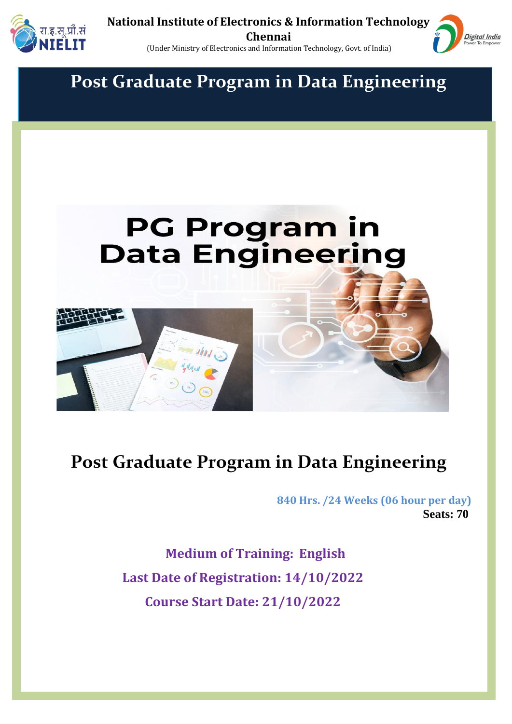



**Post Graduate Program in Data Engineering**



# **Post Graduate Program in Data Engineering**

 **840 Hrs. /24 Weeks (06 hour per day) Seats: 70**

> **Medium of Training: English Last Date of Registration: 14/10/2022 Course Start Date: 21/10/2022**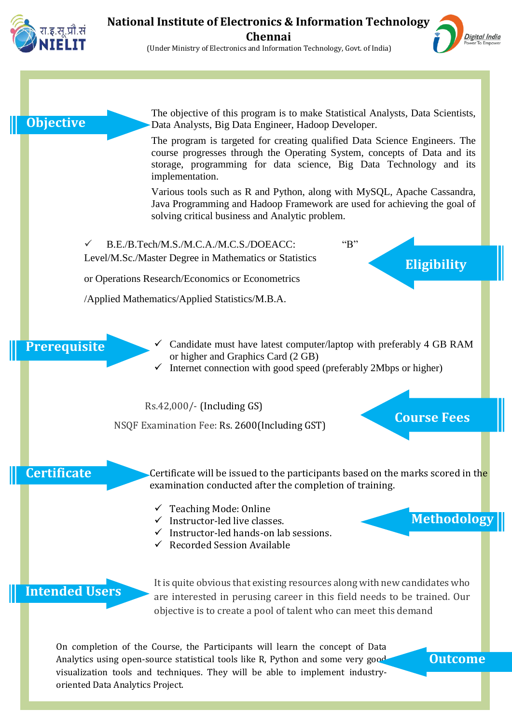

#### **National Institute of Electronics & Information Technology Chennai** (Under Ministry of Electronics and Information Technology, Govt. of India)

Digital India

**Objecti Objective**  The objective of this program is to make Statistical Analysts, Data Scientists, Data Analysts, Big Data Engineer, Hadoop Developer.

The program is targeted for creating qualified Data Science Engineers. The course progresses through the Operating System, concepts of Data and its storage, programming for data science, Big Data Technology and its implementation.

Various tools such as R and Python, along with MySQL, Apache Cassandra, Java Programming and Hadoop Framework are used for achieving the goal of solving critical business and Analytic problem.